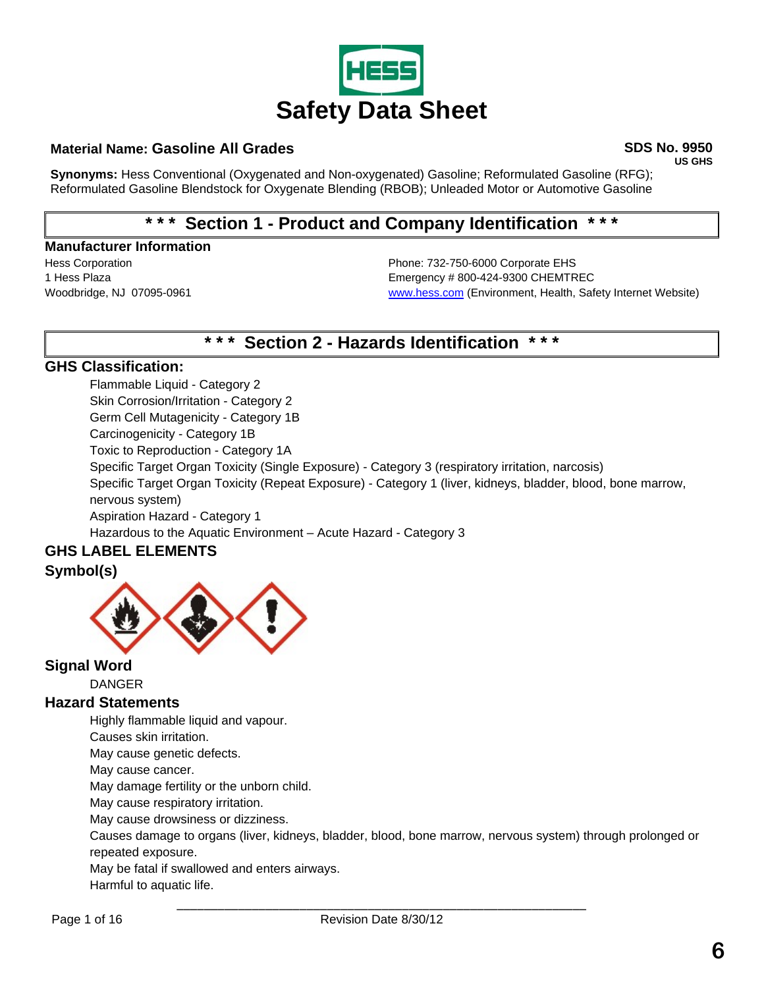

## **Material Name: Gasoline All Grades SDS No. 9950**

**US GHS** 

**Synonyms:** Hess Conventional (Oxygenated and Non-oxygenated) Gasoline; Reformulated Gasoline (RFG); Reformulated Gasoline Blendstock for Oxygenate Blending (RBOB); Unleaded Motor or Automotive Gasoline

# **\* \* \* Section 1 - Product and Company Identification \* \* \***

#### **Manufacturer Information**

Hess Corporation Phone: 732-750-6000 Corporate EHS 1 Hess Plaza **Emergency # 800-424-9300 CHEMTREC** Woodbridge, NJ 07095-0961 [www.hess.com](http://www.hess.com/) (Environment, Health, Safety Internet Website)

# **\* \* \* Section 2 - Hazards Identification \* \* \***

# **GHS Classification:**

Flammable Liquid - Category 2 Skin Corrosion/Irritation - Category 2 Germ Cell Mutagenicity - Category 1B Carcinogenicity - Category 1B Toxic to Reproduction - Category 1A Specific Target Organ Toxicity (Single Exposure) - Category 3 (respiratory irritation, narcosis) Specific Target Organ Toxicity (Repeat Exposure) - Category 1 (liver, kidneys, bladder, blood, bone marrow, nervous system) Aspiration Hazard - Category 1 Hazardous to the Aquatic Environment – Acute Hazard - Category 3

# **GHS LABEL ELEMENTS**

# **Symbol(s)**



# **Signal Word**

DANGER

# **Hazard Statements**

Highly flammable liquid and vapour.

Causes skin irritation.

May cause genetic defects.

May cause cancer.

May damage fertility or the unborn child.

May cause respiratory irritation.

May cause drowsiness or dizziness.

Causes damage to organs (liver, kidneys, bladder, blood, bone marrow, nervous system) through prolonged or repeated exposure.

May be fatal if swallowed and enters airways.

Harmful to aquatic life.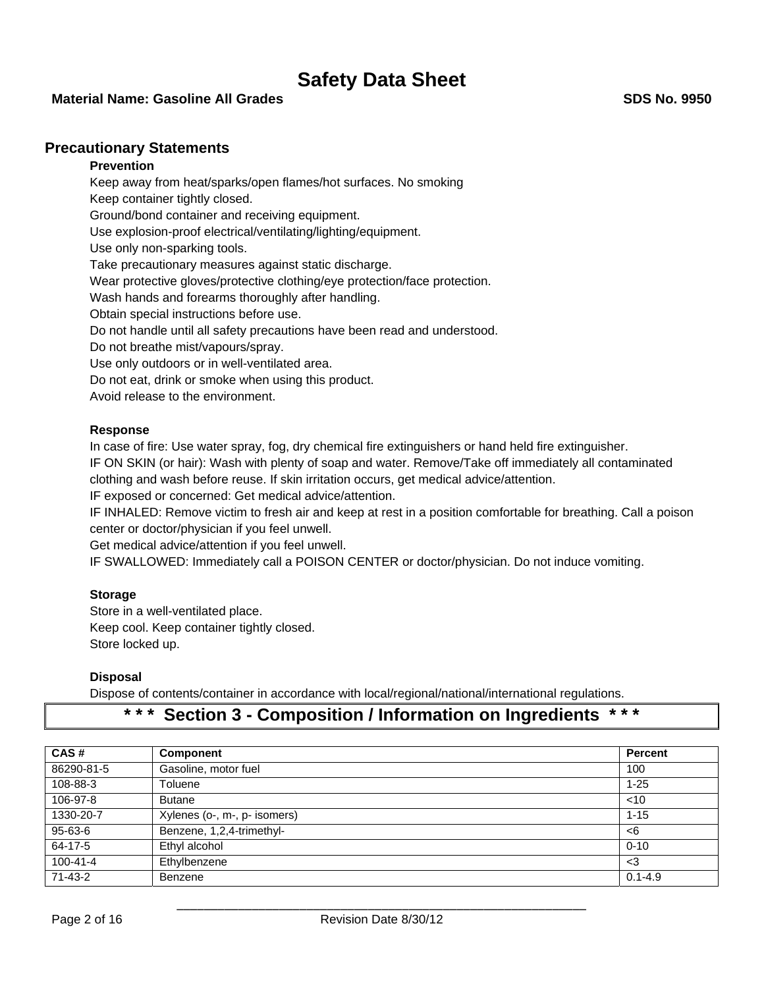#### **Material Name: Gasoline All Grades SDS No. 9950**

### **Precautionary Statements**

### **Prevention**

Keep away from heat/sparks/open flames/hot surfaces. No smoking Keep container tightly closed. Ground/bond container and receiving equipment. Use explosion-proof electrical/ventilating/lighting/equipment. Use only non-sparking tools. Take precautionary measures against static discharge. Wear protective gloves/protective clothing/eye protection/face protection. Wash hands and forearms thoroughly after handling. Obtain special instructions before use. Do not handle until all safety precautions have been read and understood. Do not breathe mist/vapours/spray. Use only outdoors or in well-ventilated area. Do not eat, drink or smoke when using this product. Avoid release to the environment.

#### **Response**

In case of fire: Use water spray, fog, dry chemical fire extinguishers or hand held fire extinguisher.

IF ON SKIN (or hair): Wash with plenty of soap and water. Remove/Take off immediately all contaminated clothing and wash before reuse. If skin irritation occurs, get medical advice/attention.

IF exposed or concerned: Get medical advice/attention.

IF INHALED: Remove victim to fresh air and keep at rest in a position comfortable for breathing. Call a poison center or doctor/physician if you feel unwell.

Get medical advice/attention if you feel unwell.

IF SWALLOWED: Immediately call a POISON CENTER or doctor/physician. Do not induce vomiting.

#### **Storage**

Store in a well-ventilated place. Keep cool. Keep container tightly closed. Store locked up.

#### **Disposal**

Dispose of contents/container in accordance with local/regional/national/international regulations.

# **\* \* \* Section 3 - Composition / Information on Ingredients \* \* \***

| CAS#           | Component                    | Percent     |
|----------------|------------------------------|-------------|
| 86290-81-5     | Gasoline, motor fuel         | 100         |
| 108-88-3       | Toluene                      | $1 - 25$    |
| 106-97-8       | <b>Butane</b>                | $<$ 10      |
| 1330-20-7      | Xylenes (o-, m-, p- isomers) | $1 - 15$    |
| 95-63-6        | Benzene, 1,2,4-trimethyl-    | <6          |
| 64-17-5        | Ethyl alcohol                | $0 - 10$    |
| $100 - 41 - 4$ | Ethylbenzene                 | $3$         |
| 71-43-2        | Benzene                      | $0.1 - 4.9$ |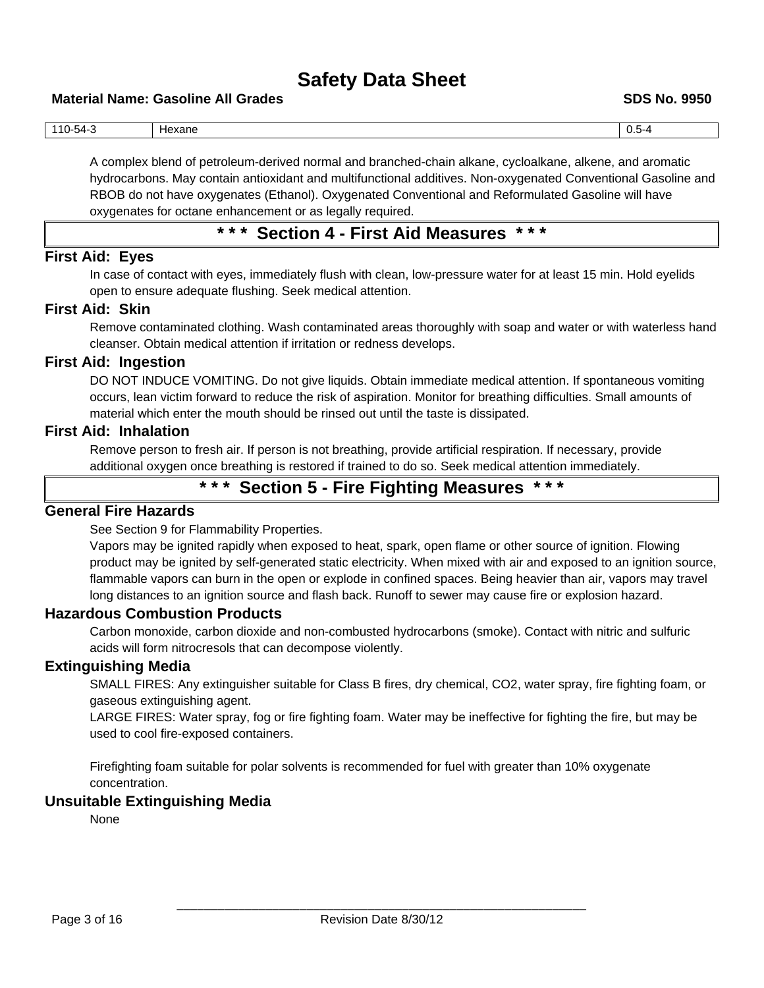#### **Material Name: Gasoline All Grades SDS No. 9950**

| $-$<br>110-54-ა | Hexane | U.5-4 |
|-----------------|--------|-------|

A complex blend of petroleum-derived normal and branched-chain alkane, cycloalkane, alkene, and aromatic hydrocarbons. May contain antioxidant and multifunctional additives. Non-oxygenated Conventional Gasoline and RBOB do not have oxygenates (Ethanol). Oxygenated Conventional and Reformulated Gasoline will have oxygenates for octane enhancement or as legally required.

# **\* \* \* Section 4 - First Aid Measures \* \* \***

### **First Aid: Eyes**

In case of contact with eyes, immediately flush with clean, low-pressure water for at least 15 min. Hold eyelids open to ensure adequate flushing. Seek medical attention.

### **First Aid: Skin**

Remove contaminated clothing. Wash contaminated areas thoroughly with soap and water or with waterless hand cleanser. Obtain medical attention if irritation or redness develops.

## **First Aid: Ingestion**

DO NOT INDUCE VOMITING. Do not give liquids. Obtain immediate medical attention. If spontaneous vomiting occurs, lean victim forward to reduce the risk of aspiration. Monitor for breathing difficulties. Small amounts of material which enter the mouth should be rinsed out until the taste is dissipated.

## **First Aid: Inhalation**

Remove person to fresh air. If person is not breathing, provide artificial respiration. If necessary, provide additional oxygen once breathing is restored if trained to do so. Seek medical attention immediately.

# **\* \* \* Section 5 - Fire Fighting Measures \* \* \***

# **General Fire Hazards**

See Section 9 for Flammability Properties.

Vapors may be ignited rapidly when exposed to heat, spark, open flame or other source of ignition. Flowing product may be ignited by self-generated static electricity. When mixed with air and exposed to an ignition source, flammable vapors can burn in the open or explode in confined spaces. Being heavier than air, vapors may travel long distances to an ignition source and flash back. Runoff to sewer may cause fire or explosion hazard.

## **Hazardous Combustion Products**

Carbon monoxide, carbon dioxide and non-combusted hydrocarbons (smoke). Contact with nitric and sulfuric acids will form nitrocresols that can decompose violently.

## **Extinguishing Media**

SMALL FIRES: Any extinguisher suitable for Class B fires, dry chemical, CO2, water spray, fire fighting foam, or gaseous extinguishing agent.

LARGE FIRES: Water spray, fog or fire fighting foam. Water may be ineffective for fighting the fire, but may be used to cool fire-exposed containers.

Firefighting foam suitable for polar solvents is recommended for fuel with greater than 10% oxygenate concentration.

### **Unsuitable Extinguishing Media**

None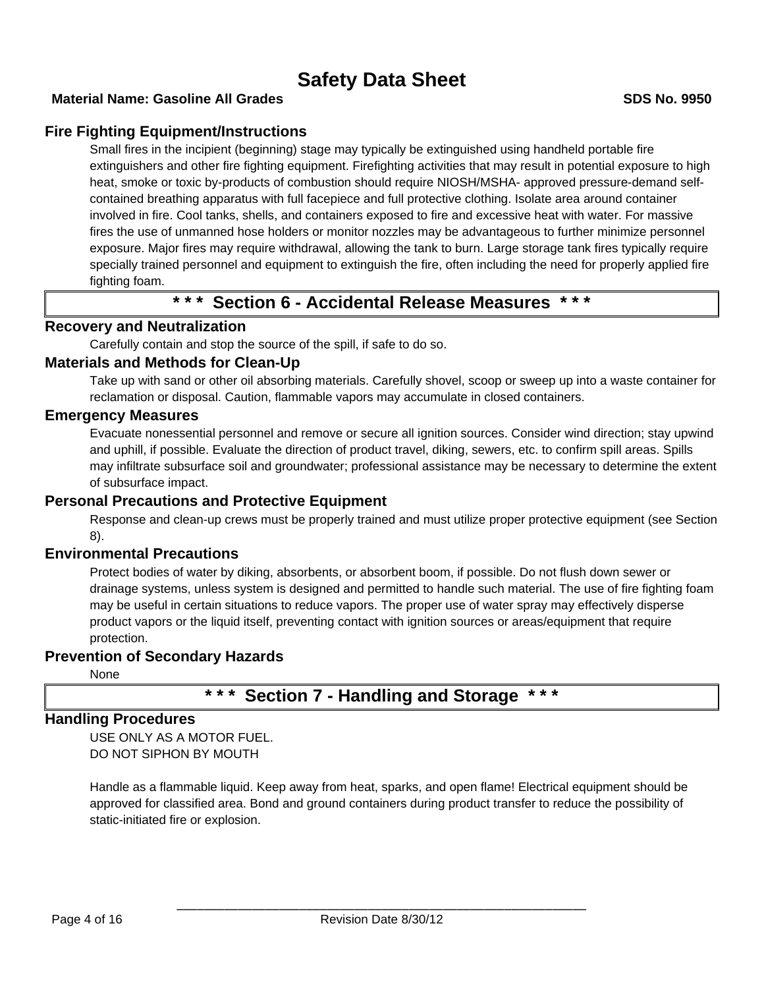# **Fire Fighting Equipment/Instructions**

Small fires in the incipient (beginning) stage may typically be extinguished using handheld portable fire extinguishers and other fire fighting equipment. Firefighting activities that may result in potential exposure to high heat, smoke or toxic by-products of combustion should require NIOSH/MSHA- approved pressure-demand selfcontained breathing apparatus with full facepiece and full protective clothing. Isolate area around container involved in fire. Cool tanks, shells, and containers exposed to fire and excessive heat with water. For massive fires the use of unmanned hose holders or monitor nozzles may be advantageous to further minimize personnel exposure. Major fires may require withdrawal, allowing the tank to burn. Large storage tank fires typically require specially trained personnel and equipment to extinguish the fire, often including the need for properly applied fire fighting foam.

# **\* \* \* Section 6 - Accidental Release Measures \* \* \***

# **Recovery and Neutralization**

Carefully contain and stop the source of the spill, if safe to do so.

### **Materials and Methods for Clean-Up**

Take up with sand or other oil absorbing materials. Carefully shovel, scoop or sweep up into a waste container for reclamation or disposal. Caution, flammable vapors may accumulate in closed containers.

## **Emergency Measures**

Evacuate nonessential personnel and remove or secure all ignition sources. Consider wind direction; stay upwind and uphill, if possible. Evaluate the direction of product travel, diking, sewers, etc. to confirm spill areas. Spills may infiltrate subsurface soil and groundwater; professional assistance may be necessary to determine the extent of subsurface impact.

# **Personal Precautions and Protective Equipment**

Response and clean-up crews must be properly trained and must utilize proper protective equipment (see Section 8).

# **Environmental Precautions**

Protect bodies of water by diking, absorbents, or absorbent boom, if possible. Do not flush down sewer or drainage systems, unless system is designed and permitted to handle such material. The use of fire fighting foam may be useful in certain situations to reduce vapors. The proper use of water spray may effectively disperse product vapors or the liquid itself, preventing contact with ignition sources or areas/equipment that require protection.

# **Prevention of Secondary Hazards**

None

# **\* \* \* Section 7 - Handling and Storage \* \* \***

# **Handling Procedures**

USE ONLY AS A MOTOR FUEL. DO NOT SIPHON BY MOUTH

Handle as a flammable liquid. Keep away from heat, sparks, and open flame! Electrical equipment should be approved for classified area. Bond and ground containers during product transfer to reduce the possibility of static-initiated fire or explosion.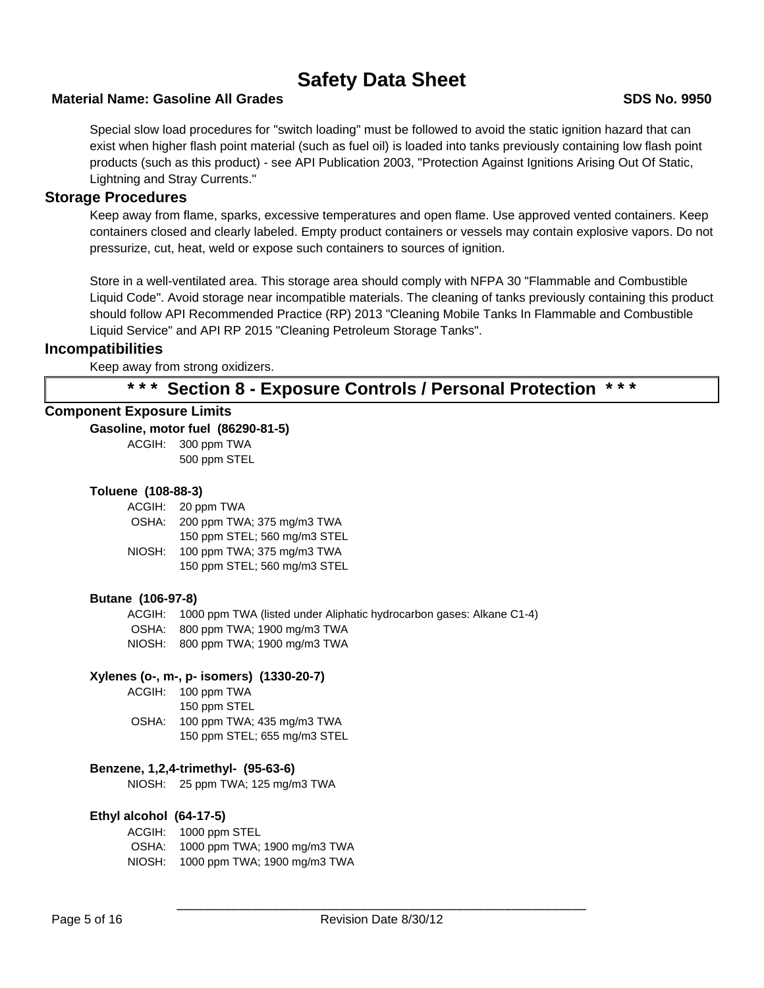## **Material Name: Gasoline All Grades SDS No. 9950**

Special slow load procedures for "switch loading" must be followed to avoid the static ignition hazard that can exist when higher flash point material (such as fuel oil) is loaded into tanks previously containing low flash point products (such as this product) - see API Publication 2003, "Protection Against Ignitions Arising Out Of Static, Lightning and Stray Currents."

## **Storage Procedures**

Keep away from flame, sparks, excessive temperatures and open flame. Use approved vented containers. Keep containers closed and clearly labeled. Empty product containers or vessels may contain explosive vapors. Do not pressurize, cut, heat, weld or expose such containers to sources of ignition.

Store in a well-ventilated area. This storage area should comply with NFPA 30 "Flammable and Combustible Liquid Code". Avoid storage near incompatible materials. The cleaning of tanks previously containing this product should follow API Recommended Practice (RP) 2013 "Cleaning Mobile Tanks In Flammable and Combustible Liquid Service" and API RP 2015 "Cleaning Petroleum Storage Tanks".

## **Incompatibilities**

Keep away from strong oxidizers.

# **\* \* \* Section 8 - Exposure Controls / Personal Protection \* \* \***

## **Component Exposure Limits**

**Gasoline, motor fuel (86290-81-5)**

ACGIH: 300 ppm TWA 500 ppm STEL

### **Toluene (108-88-3)**

ACGIH: 20 ppm TWA OSHA: 200 ppm TWA; 375 mg/m3 TWA 150 ppm STEL; 560 mg/m3 STEL NIOSH: 100 ppm TWA; 375 mg/m3 TWA 150 ppm STEL; 560 mg/m3 STEL

### **Butane (106-97-8)**

ACGIH: 1000 ppm TWA (listed under Aliphatic hydrocarbon gases: Alkane C1-4) OSHA: 800 ppm TWA; 1900 mg/m3 TWA NIOSH: 800 ppm TWA; 1900 mg/m3 TWA

## **Xylenes (o-, m-, p- isomers) (1330-20-7)**

ACGIH: 100 ppm TWA 150 ppm STEL OSHA: 100 ppm TWA; 435 mg/m3 TWA 150 ppm STEL; 655 mg/m3 STEL

### **Benzene, 1,2,4-trimethyl- (95-63-6)**

NIOSH: 25 ppm TWA; 125 mg/m3 TWA

#### **Ethyl alcohol (64-17-5)**

ACGIH: 1000 ppm STEL OSHA: 1000 ppm TWA; 1900 mg/m3 TWA NIOSH: 1000 ppm TWA; 1900 mg/m3 TWA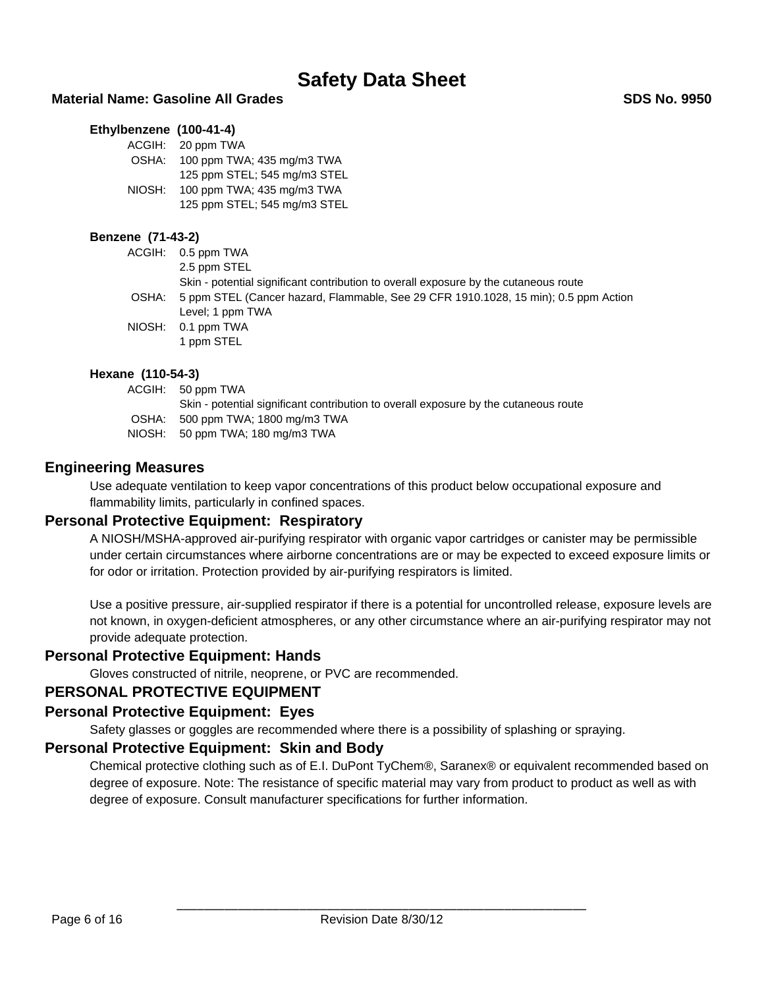### **Material Name: Gasoline All Grades SDS No. 9950**

#### **Ethylbenzene (100-41-4)**

| ACGIH: | 20 ppm TWA                   |
|--------|------------------------------|
| OSHA:  | 100 ppm TWA; 435 mg/m3 TWA   |
|        | 125 ppm STEL; 545 mg/m3 STEL |
| NIOSH: | 100 ppm TWA; 435 mg/m3 TWA   |
|        | 125 ppm STEL; 545 mg/m3 STEL |

#### **Benzene (71-43-2)**

| ACGIH: 0.5 ppm TWA                                                                        |
|-------------------------------------------------------------------------------------------|
| 2.5 ppm STEL                                                                              |
| Skin - potential significant contribution to overall exposure by the cutaneous route      |
| OSHA: 5 ppm STEL (Cancer hazard, Flammable, See 29 CFR 1910.1028, 15 min); 0.5 ppm Action |
| Level; 1 ppm TWA                                                                          |
| NIOSH: 0.1 ppm TWA                                                                        |
| 1 ppm STEL                                                                                |

#### **Hexane (110-54-3)**

| ACGIH: 50 ppm TWA                                                                    |
|--------------------------------------------------------------------------------------|
| Skin - potential significant contribution to overall exposure by the cutaneous route |
| OSHA: 500 ppm TWA; 1800 mg/m3 TWA                                                    |
| NIOSH: 50 ppm TWA; 180 mg/m3 TWA                                                     |

### **Engineering Measures**

Use adequate ventilation to keep vapor concentrations of this product below occupational exposure and flammability limits, particularly in confined spaces.

### **Personal Protective Equipment: Respiratory**

A NIOSH/MSHA-approved air-purifying respirator with organic vapor cartridges or canister may be permissible under certain circumstances where airborne concentrations are or may be expected to exceed exposure limits or for odor or irritation. Protection provided by air-purifying respirators is limited.

Use a positive pressure, air-supplied respirator if there is a potential for uncontrolled release, exposure levels are not known, in oxygen-deficient atmospheres, or any other circumstance where an air-purifying respirator may not provide adequate protection.

### **Personal Protective Equipment: Hands**

Gloves constructed of nitrile, neoprene, or PVC are recommended.

### **PERSONAL PROTECTIVE EQUIPMENT**

### **Personal Protective Equipment: Eyes**

Safety glasses or goggles are recommended where there is a possibility of splashing or spraying.

### **Personal Protective Equipment: Skin and Body**

Chemical protective clothing such as of E.I. DuPont TyChem®, Saranex® or equivalent recommended based on degree of exposure. Note: The resistance of specific material may vary from product to product as well as with degree of exposure. Consult manufacturer specifications for further information.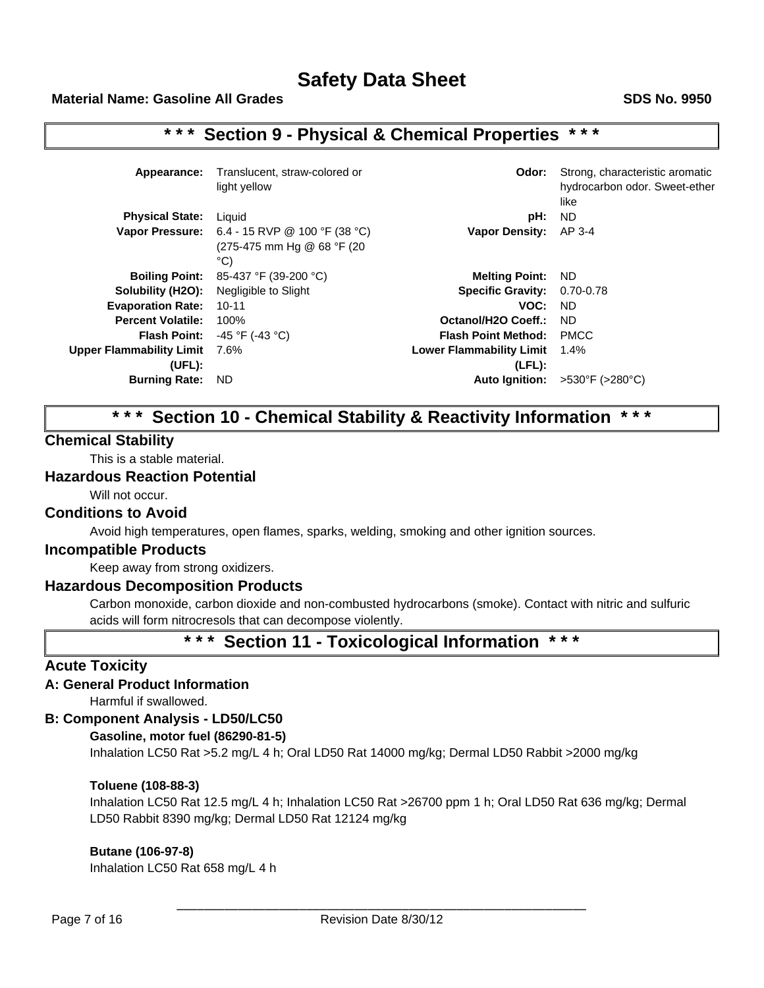# **\* \* \* Section 9 - Physical & Chemical Properties \* \* \***

| Appearance:                     | Translucent, straw-colored or<br>light yellow                                                          | Odor:                           | Strong, characteristic aromatic<br>hydrocarbon odor. Sweet-ether<br>like |
|---------------------------------|--------------------------------------------------------------------------------------------------------|---------------------------------|--------------------------------------------------------------------------|
| <b>Physical State:</b>          | Liquid                                                                                                 | pH:                             | ND.                                                                      |
|                                 | <b>Vapor Pressure:</b> $6.4 - 15$ RVP @ 100 °F (38 °C)<br>(275-475 mm Hg @ 68 °F (20)<br>$^{\circ}$ C) | <b>Vapor Density:</b>           | AP 3-4                                                                   |
| <b>Boiling Point:</b>           | 85-437 °F (39-200 °C)                                                                                  | <b>Melting Point:</b>           | ND.                                                                      |
| Solubility (H2O):               | Negligible to Slight                                                                                   | <b>Specific Gravity:</b>        | 0.70-0.78                                                                |
| <b>Evaporation Rate:</b>        | $10 - 11$                                                                                              | VOC:                            | ND.                                                                      |
| <b>Percent Volatile:</b>        | 100%                                                                                                   | Octanol/H2O Coeff.:             | ND.                                                                      |
| <b>Flash Point:</b>             | -45 °F (-43 °C)                                                                                        | <b>Flash Point Method:</b>      | <b>PMCC</b>                                                              |
| <b>Upper Flammability Limit</b> | 7.6%                                                                                                   | <b>Lower Flammability Limit</b> | 1.4%                                                                     |
| (UEL):                          |                                                                                                        | (LEL):                          |                                                                          |
| <b>Burning Rate:</b>            | <b>ND</b>                                                                                              | <b>Auto Ignition:</b>           | >530°F (>280°C)                                                          |

# **\* \* \* Section 10 - Chemical Stability & Reactivity Information \* \* \***

# **Chemical Stability**

This is a stable material.

## **Hazardous Reaction Potential**

Will not occur.

### **Conditions to Avoid**

Avoid high temperatures, open flames, sparks, welding, smoking and other ignition sources.

### **Incompatible Products**

Keep away from strong oxidizers.

### **Hazardous Decomposition Products**

Carbon monoxide, carbon dioxide and non-combusted hydrocarbons (smoke). Contact with nitric and sulfuric acids will form nitrocresols that can decompose violently.

# **\* \* \* Section 11 - Toxicological Information \* \* \***

# **Acute Toxicity**

### **A: General Product Information**

Harmful if swallowed.

# **B: Component Analysis - LD50/LC50**

#### **Gasoline, motor fuel (86290-81-5)**

Inhalation LC50 Rat >5.2 mg/L 4 h; Oral LD50 Rat 14000 mg/kg; Dermal LD50 Rabbit >2000 mg/kg

### **Toluene (108-88-3)**

Inhalation LC50 Rat 12.5 mg/L 4 h; Inhalation LC50 Rat >26700 ppm 1 h; Oral LD50 Rat 636 mg/kg; Dermal LD50 Rabbit 8390 mg/kg; Dermal LD50 Rat 12124 mg/kg

### **Butane (106-97-8)**

Inhalation LC50 Rat 658 mg/L 4 h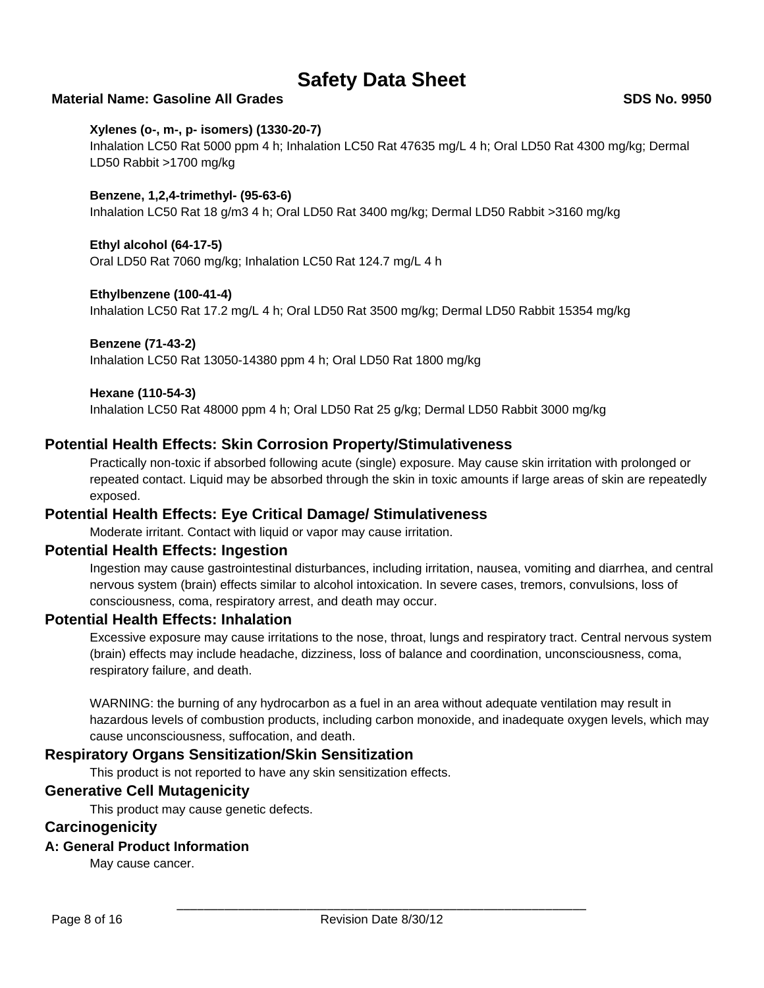# **Material Name: Gasoline All Grades SDS No. 9950**

### **Xylenes (o-, m-, p- isomers) (1330-20-7)**

Inhalation LC50 Rat 5000 ppm 4 h; Inhalation LC50 Rat 47635 mg/L 4 h; Oral LD50 Rat 4300 mg/kg; Dermal LD50 Rabbit >1700 mg/kg

#### **Benzene, 1,2,4-trimethyl- (95-63-6)**

Inhalation LC50 Rat 18 g/m3 4 h; Oral LD50 Rat 3400 mg/kg; Dermal LD50 Rabbit >3160 mg/kg

### **Ethyl alcohol (64-17-5)**

Oral LD50 Rat 7060 mg/kg; Inhalation LC50 Rat 124.7 mg/L 4 h

#### **Ethylbenzene (100-41-4)**

Inhalation LC50 Rat 17.2 mg/L 4 h; Oral LD50 Rat 3500 mg/kg; Dermal LD50 Rabbit 15354 mg/kg

#### **Benzene (71-43-2)**

Inhalation LC50 Rat 13050-14380 ppm 4 h; Oral LD50 Rat 1800 mg/kg

#### **Hexane (110-54-3)**

Inhalation LC50 Rat 48000 ppm 4 h; Oral LD50 Rat 25 g/kg; Dermal LD50 Rabbit 3000 mg/kg

## **Potential Health Effects: Skin Corrosion Property/Stimulativeness**

Practically non-toxic if absorbed following acute (single) exposure. May cause skin irritation with prolonged or repeated contact. Liquid may be absorbed through the skin in toxic amounts if large areas of skin are repeatedly exposed.

### **Potential Health Effects: Eye Critical Damage/ Stimulativeness**

Moderate irritant. Contact with liquid or vapor may cause irritation.

# **Potential Health Effects: Ingestion**

Ingestion may cause gastrointestinal disturbances, including irritation, nausea, vomiting and diarrhea, and central nervous system (brain) effects similar to alcohol intoxication. In severe cases, tremors, convulsions, loss of consciousness, coma, respiratory arrest, and death may occur.

## **Potential Health Effects: Inhalation**

Excessive exposure may cause irritations to the nose, throat, lungs and respiratory tract. Central nervous system (brain) effects may include headache, dizziness, loss of balance and coordination, unconsciousness, coma, respiratory failure, and death.

WARNING: the burning of any hydrocarbon as a fuel in an area without adequate ventilation may result in hazardous levels of combustion products, including carbon monoxide, and inadequate oxygen levels, which may cause unconsciousness, suffocation, and death.

## **Respiratory Organs Sensitization/Skin Sensitization**

This product is not reported to have any skin sensitization effects.

### **Generative Cell Mutagenicity**

This product may cause genetic defects.

### **Carcinogenicity**

### **A: General Product Information**

May cause cancer.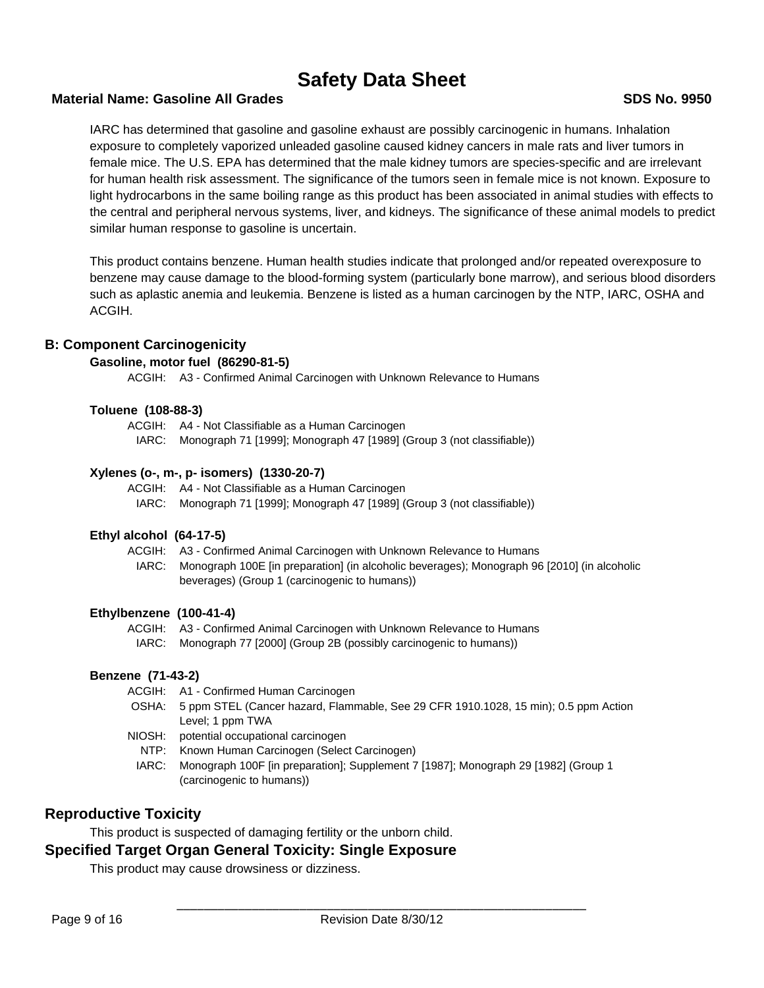## **Material Name: Gasoline All Grades SDS No. 9950**

IARC has determined that gasoline and gasoline exhaust are possibly carcinogenic in humans. Inhalation exposure to completely vaporized unleaded gasoline caused kidney cancers in male rats and liver tumors in female mice. The U.S. EPA has determined that the male kidney tumors are species-specific and are irrelevant for human health risk assessment. The significance of the tumors seen in female mice is not known. Exposure to light hydrocarbons in the same boiling range as this product has been associated in animal studies with effects to the central and peripheral nervous systems, liver, and kidneys. The significance of these animal models to predict similar human response to gasoline is uncertain.

This product contains benzene. Human health studies indicate that prolonged and/or repeated overexposure to benzene may cause damage to the blood-forming system (particularly bone marrow), and serious blood disorders such as aplastic anemia and leukemia. Benzene is listed as a human carcinogen by the NTP, IARC, OSHA and ACGIH.

# **B: Component Carcinogenicity**

### **Gasoline, motor fuel (86290-81-5)**

ACGIH: A3 - Confirmed Animal Carcinogen with Unknown Relevance to Humans

### **Toluene (108-88-3)**

- ACGIH: A4 Not Classifiable as a Human Carcinogen
	- IARC: Monograph 71 [1999]; Monograph 47 [1989] (Group 3 (not classifiable))

## **Xylenes (o-, m-, p- isomers) (1330-20-7)**

- ACGIH: A4 Not Classifiable as a Human Carcinogen
	- IARC: Monograph 71 [1999]; Monograph 47 [1989] (Group 3 (not classifiable))

### **Ethyl alcohol (64-17-5)**

ACGIH: A3 - Confirmed Animal Carcinogen with Unknown Relevance to Humans IARC: Monograph 100E [in preparation] (in alcoholic beverages); Monograph 96 [2010] (in alcoholic beverages) (Group 1 (carcinogenic to humans))

### **Ethylbenzene (100-41-4)**

ACGIH: A3 - Confirmed Animal Carcinogen with Unknown Relevance to Humans IARC: Monograph 77 [2000] (Group 2B (possibly carcinogenic to humans))

# **Benzene (71-43-2)**

- ACGIH: A1 Confirmed Human Carcinogen
- OSHA: 5 ppm STEL (Cancer hazard, Flammable, See 29 CFR 1910.1028, 15 min); 0.5 ppm Action Level; 1 ppm TWA
- NIOSH: potential occupational carcinogen
- NTP: Known Human Carcinogen (Select Carcinogen)
- IARC: Monograph 100F [in preparation]; Supplement 7 [1987]; Monograph 29 [1982] (Group 1 (carcinogenic to humans))

# **Reproductive Toxicity**

This product is suspected of damaging fertility or the unborn child.

# **Specified Target Organ General Toxicity: Single Exposure**

This product may cause drowsiness or dizziness.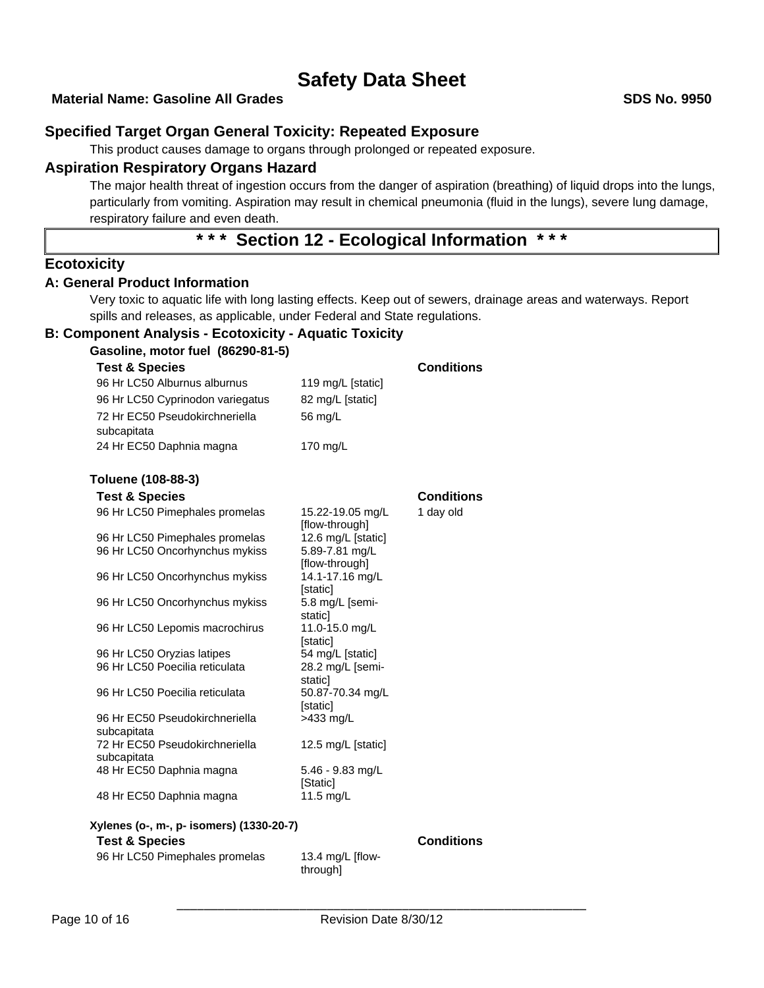## **Material Name: Gasoline All Grades SDS No. 9950**

# **Specified Target Organ General Toxicity: Repeated Exposure**

This product causes damage to organs through prolonged or repeated exposure.

# **Aspiration Respiratory Organs Hazard**

The major health threat of ingestion occurs from the danger of aspiration (breathing) of liquid drops into the lungs, particularly from vomiting. Aspiration may result in chemical pneumonia (fluid in the lungs), severe lung damage, respiratory failure and even death.

# **\* \* \* Section 12 - Ecological Information \* \* \***

## **Ecotoxicity**

## **A: General Product Information**

Very toxic to aquatic life with long lasting effects. Keep out of sewers, drainage areas and waterways. Report spills and releases, as applicable, under Federal and State regulations.

## **B: Component Analysis - Ecotoxicity - Aquatic Toxicity**

| Gasoline, motor fuel (86290-81-5)             |                                    |                   |
|-----------------------------------------------|------------------------------------|-------------------|
| <b>Test &amp; Species</b>                     |                                    | <b>Conditions</b> |
| 96 Hr LC50 Alburnus alburnus                  | 119 mg/L [static]                  |                   |
| 96 Hr LC50 Cyprinodon variegatus              | 82 mg/L [static]                   |                   |
| 72 Hr EC50 Pseudokirchneriella                | 56 mg/L                            |                   |
| subcapitata                                   |                                    |                   |
| 24 Hr EC50 Daphnia magna                      | 170 mg/L                           |                   |
| Toluene (108-88-3)                            |                                    |                   |
| <b>Test &amp; Species</b>                     |                                    | <b>Conditions</b> |
| 96 Hr LC50 Pimephales promelas                | 15.22-19.05 mg/L<br>[flow-through] | 1 day old         |
| 96 Hr LC50 Pimephales promelas                | 12.6 mg/L [static]                 |                   |
| 96 Hr LC50 Oncorhynchus mykiss                | 5.89-7.81 mg/L<br>[flow-through]   |                   |
| 96 Hr LC50 Oncorhynchus mykiss                | 14.1-17.16 mg/L<br>[static]        |                   |
| 96 Hr LC50 Oncorhynchus mykiss                | 5.8 mg/L [semi-<br>static]         |                   |
| 96 Hr LC50 Lepomis macrochirus                | 11.0-15.0 mg/L<br>[static]         |                   |
| 96 Hr LC50 Oryzias latipes                    | 54 mg/L [static]                   |                   |
| 96 Hr LC50 Poecilia reticulata                | 28.2 mg/L [semi-<br>static]        |                   |
| 96 Hr LC50 Poecilia reticulata                | 50.87-70.34 mg/L<br>[static]       |                   |
| 96 Hr EC50 Pseudokirchneriella<br>subcapitata | $>433$ mg/L                        |                   |
| 72 Hr EC50 Pseudokirchneriella                | 12.5 mg/L [static]                 |                   |
| subcapitata                                   |                                    |                   |
| 48 Hr EC50 Daphnia magna                      | 5.46 - 9.83 mg/L<br>[Static]       |                   |
| 48 Hr EC50 Daphnia magna                      | 11.5 mg/L                          |                   |
| Xylenes (o-, m-, p- isomers) (1330-20-7)      |                                    |                   |
| <b>Test &amp; Species</b>                     |                                    | <b>Conditions</b> |
| 96 Hr LC50 Pimephales promelas                | 13.4 mg/L [flow-                   |                   |

through]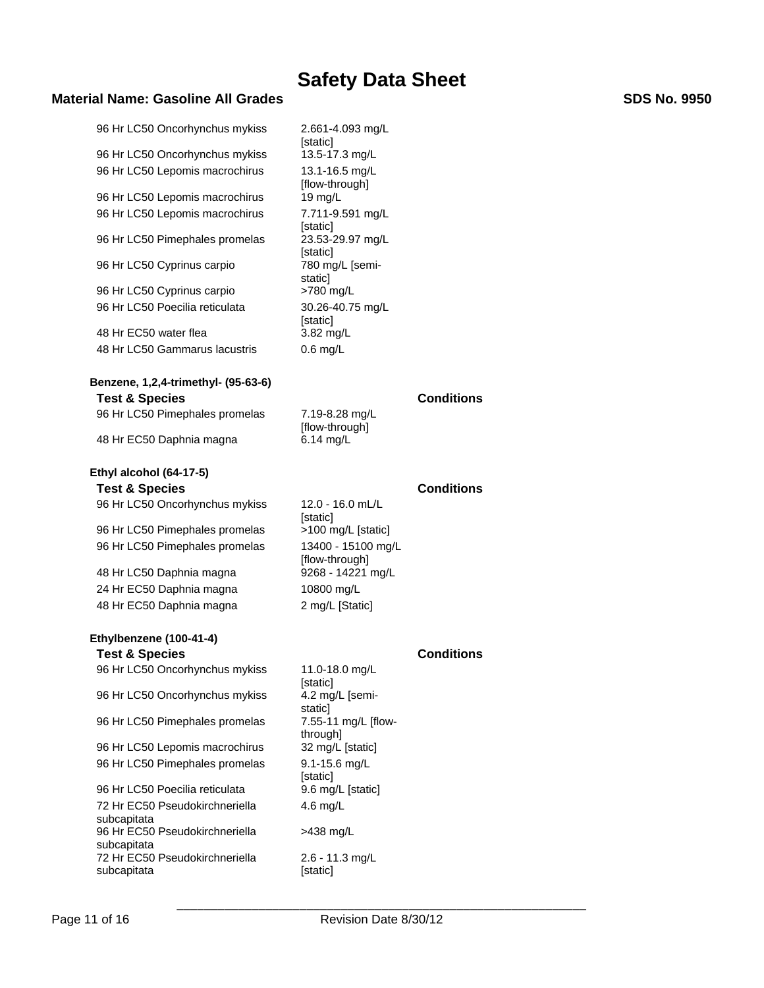# **Material Name: Gasoline All Grades SDS No. 9950**

| 96 Hr LC50 Oncorhynchus mykiss                       | 2.661-4.093 mg/L                                   |                   |
|------------------------------------------------------|----------------------------------------------------|-------------------|
| 96 Hr LC50 Oncorhynchus mykiss                       | [static]<br>13.5-17.3 mg/L                         |                   |
| 96 Hr LC50 Lepomis macrochirus                       | 13.1-16.5 mg/L                                     |                   |
|                                                      | [flow-through]                                     |                   |
| 96 Hr LC50 Lepomis macrochirus                       | 19 mg/L                                            |                   |
| 96 Hr LC50 Lepomis macrochirus                       | 7.711-9.591 mg/L                                   |                   |
| 96 Hr LC50 Pimephales promelas                       | [static]<br>23.53-29.97 mg/L<br>[static]           |                   |
| 96 Hr LC50 Cyprinus carpio                           | 780 mg/L [semi-<br>staticl                         |                   |
| 96 Hr LC50 Cyprinus carpio                           | >780 mg/L                                          |                   |
| 96 Hr LC50 Poecilia reticulata                       | 30.26-40.75 mg/L<br>[static]                       |                   |
| 48 Hr EC50 water flea                                | $3.82 \text{ mg/L}$                                |                   |
| 48 Hr LC50 Gammarus lacustris                        | $0.6$ mg/L                                         |                   |
| Benzene, 1,2,4-trimethyl- (95-63-6)                  |                                                    |                   |
| <b>Test &amp; Species</b>                            |                                                    | <b>Conditions</b> |
| 96 Hr LC50 Pimephales promelas                       | 7.19-8.28 mg/L<br>[flow-through]                   |                   |
| 48 Hr EC50 Daphnia magna                             | 6.14 mg/L                                          |                   |
| Ethyl alcohol (64-17-5)                              |                                                    |                   |
| <b>Test &amp; Species</b>                            |                                                    | <b>Conditions</b> |
| 96 Hr LC50 Oncorhynchus mykiss                       | 12.0 - 16.0 mL/L<br>[static]                       |                   |
| 96 Hr LC50 Pimephales promelas                       | >100 mg/L [static]                                 |                   |
| 96 Hr LC50 Pimephales promelas                       | 13400 - 15100 mg/L<br>[flow-through]               |                   |
| 48 Hr LC50 Daphnia magna                             | 9268 - 14221 mg/L                                  |                   |
| 24 Hr EC50 Daphnia magna                             | 10800 mg/L                                         |                   |
| 48 Hr EC50 Daphnia magna                             | 2 mg/L [Static]                                    |                   |
|                                                      |                                                    |                   |
| Ethylbenzene (100-41-4)<br><b>Test &amp; Species</b> |                                                    | <b>Conditions</b> |
| 96 Hr LC50 Oncorhynchus mykiss                       | 11.0-18.0 mg/L                                     |                   |
|                                                      | [static]                                           |                   |
| 96 Hr LC50 Oncorhynchus mykiss                       | 4.2 mg/L [semi-                                    |                   |
| 96 Hr LC50 Pimephales promelas                       | staticl<br>7.55-11 mg/L [flow-<br>1. احامر رمبر 14 |                   |

96 Hr LC50 Lepomis macrochirus 96 Hr LC50 Pimephales promelas 9.1-15.6 mg/L

96 Hr LC50 Poecilia reticulata 72 Hr EC50 Pseudokirchneriella subcapitata 96 Hr EC50 Pseudokirchneriella subcapitata 72 Hr EC50 Pseudokirchneriella subcapitata

through]<br>32 mg/L [static] [static]<br>9.6 mg/L [static] 4.6 mg/L >438 mg/L 2.6 - 11.3 mg/L [static]

\_\_\_\_\_\_\_\_\_\_\_\_\_\_\_\_\_\_\_\_\_\_\_\_\_\_\_\_\_\_\_\_\_\_\_\_\_\_\_\_\_\_\_\_\_\_\_\_\_\_\_\_\_\_\_\_\_\_\_\_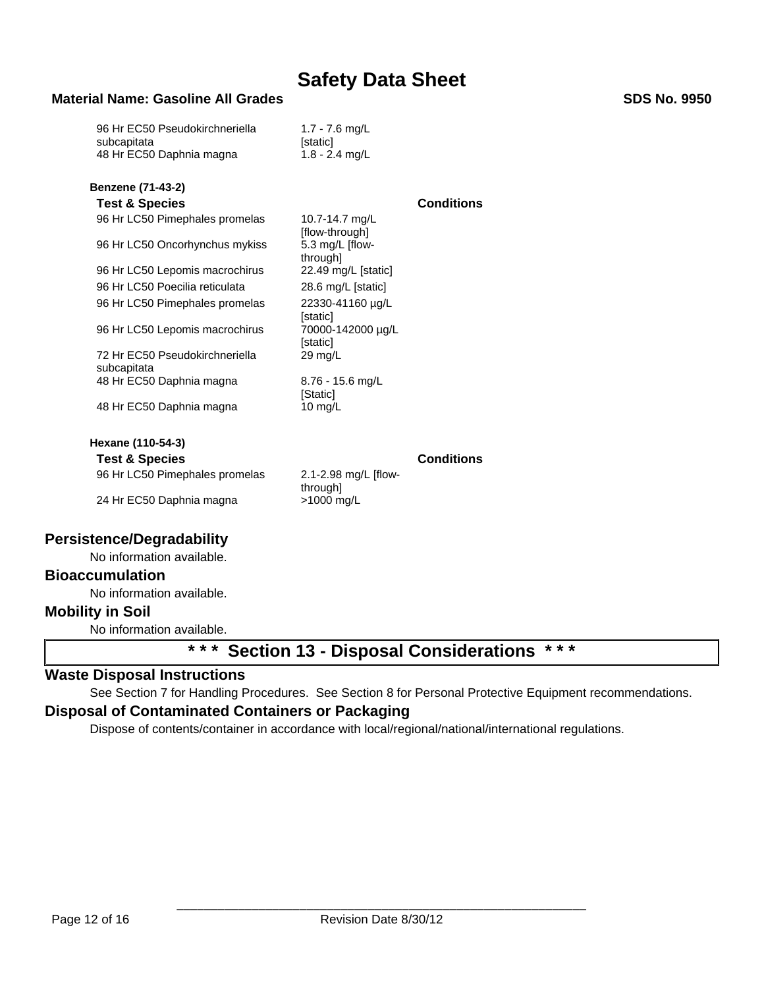# **Material Name: Gasoline All Grades SDS No. 9950**

| 96 Hr EC50 Pseudokirchneriella<br>subcapitata | 1.7 - 7.6 mg/L<br>[static]       |                   |
|-----------------------------------------------|----------------------------------|-------------------|
| 48 Hr EC50 Daphnia magna                      | $1.8 - 2.4$ mg/L                 |                   |
| <b>Benzene (71-43-2)</b>                      |                                  |                   |
| <b>Test &amp; Species</b>                     |                                  | <b>Conditions</b> |
| 96 Hr LC50 Pimephales promelas                | 10.7-14.7 mg/L<br>[flow-through] |                   |
| 96 Hr LC50 Oncorhynchus mykiss                | 5.3 mg/L [flow-<br>through]      |                   |
| 96 Hr LC50 Lepomis macrochirus                | 22.49 mg/L [static]              |                   |
| 96 Hr LC50 Poecilia reticulata                | 28.6 mg/L [static]               |                   |
| 96 Hr LC50 Pimephales promelas                | 22330-41160 µg/L<br>[static]     |                   |
| 96 Hr LC50 Lepomis macrochirus                | 70000-142000 µg/L<br>[static]    |                   |
| 72 Hr EC50 Pseudokirchneriella<br>subcapitata | $29 \text{ mg/L}$                |                   |
| 48 Hr EC50 Daphnia magna                      | 8.76 - 15.6 mg/L<br>[Static]     |                   |
| 48 Hr EC50 Daphnia magna                      | 10 $mq/L$                        |                   |
| Hexane (110-54-3)                             |                                  |                   |
| <b>Test &amp; Species</b>                     |                                  | <b>Conditions</b> |
| 96 Hr LC50 Pimephales promelas                | 2.1-2.98 mg/L [flow-<br>through] |                   |
| 24 Hr EC50 Daphnia magna                      | >1000 mg/L                       |                   |

# **Persistence/Degradability**

No information available.

# **Bioaccumulation**

No information available.

# **Mobility in Soil**

No information available.

# **\* \* \* Section 13 - Disposal Considerations \* \* \***

## **Waste Disposal Instructions**

See Section 7 for Handling Procedures. See Section 8 for Personal Protective Equipment recommendations.

### **Disposal of Contaminated Containers or Packaging**

Dispose of contents/container in accordance with local/regional/national/international regulations.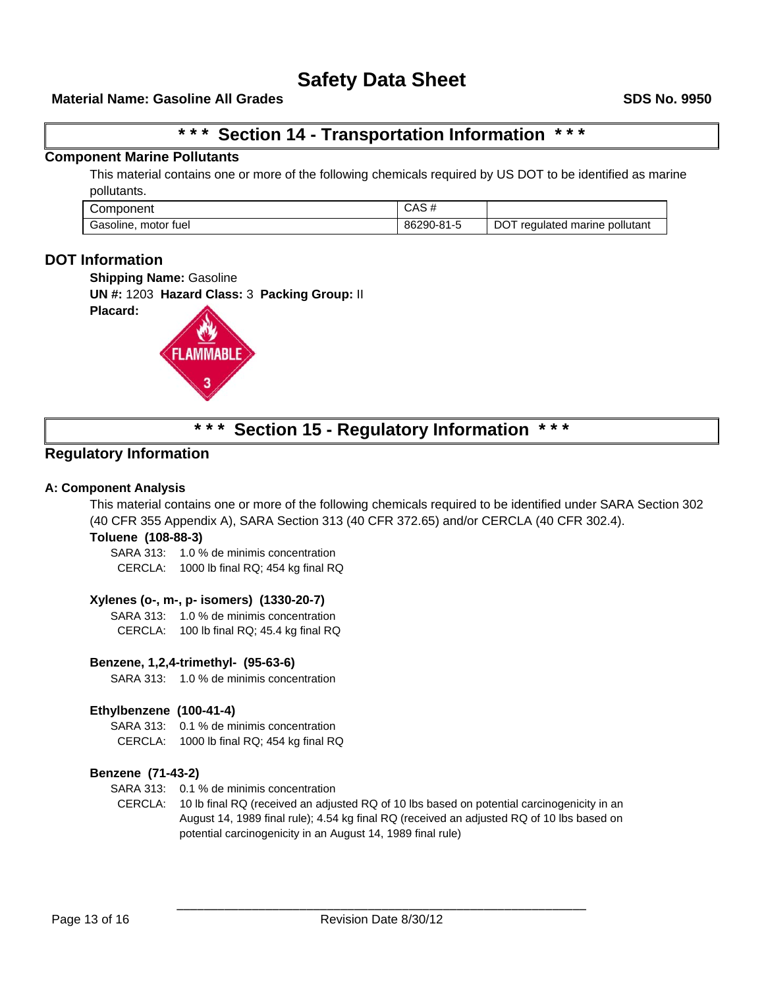# **\* \* \* Section 14 - Transportation Information \* \* \***

### **Component Marine Pollutants**

This material contains one or more of the following chemicals required by US DOT to be identified as marine pollutants.

| Component               | CAS #      |                                     |
|-------------------------|------------|-------------------------------------|
| motor fuel<br>Gasoline, | 86290-81-5 | regulated marine pollutant<br>. DOT |

# **DOT Information**

**Placard:** 

**Shipping Name: Gasoline** 

**UN #:** 1203 **Hazard Class:** 3 **Packing Group:** II



# **\* \* \* Section 15 - Regulatory Information \* \* \***

# **Regulatory Information**

#### **A: Component Analysis**

This material contains one or more of the following chemicals required to be identified under SARA Section 302 (40 CFR 355 Appendix A), SARA Section 313 (40 CFR 372.65) and/or CERCLA (40 CFR 302.4).

#### **Toluene (108-88-3)**

SARA 313: 1.0 % de minimis concentration CERCLA: 1000 lb final RQ; 454 kg final RQ

#### **Xylenes (o-, m-, p- isomers) (1330-20-7)**

SARA 313: 1.0 % de minimis concentration CERCLA: 100 lb final RQ; 45.4 kg final RQ

#### **Benzene, 1,2,4-trimethyl- (95-63-6)**

SARA 313: 1.0 % de minimis concentration

#### **Ethylbenzene (100-41-4)**

SARA 313: 0.1 % de minimis concentration

CERCLA: 1000 lb final RQ; 454 kg final RQ

#### **Benzene (71-43-2)**

SARA 313: 0.1 % de minimis concentration

CERCLA: 10 lb final RQ (received an adjusted RQ of 10 lbs based on potential carcinogenicity in an August 14, 1989 final rule); 4.54 kg final RQ (received an adjusted RQ of 10 lbs based on potential carcinogenicity in an August 14, 1989 final rule)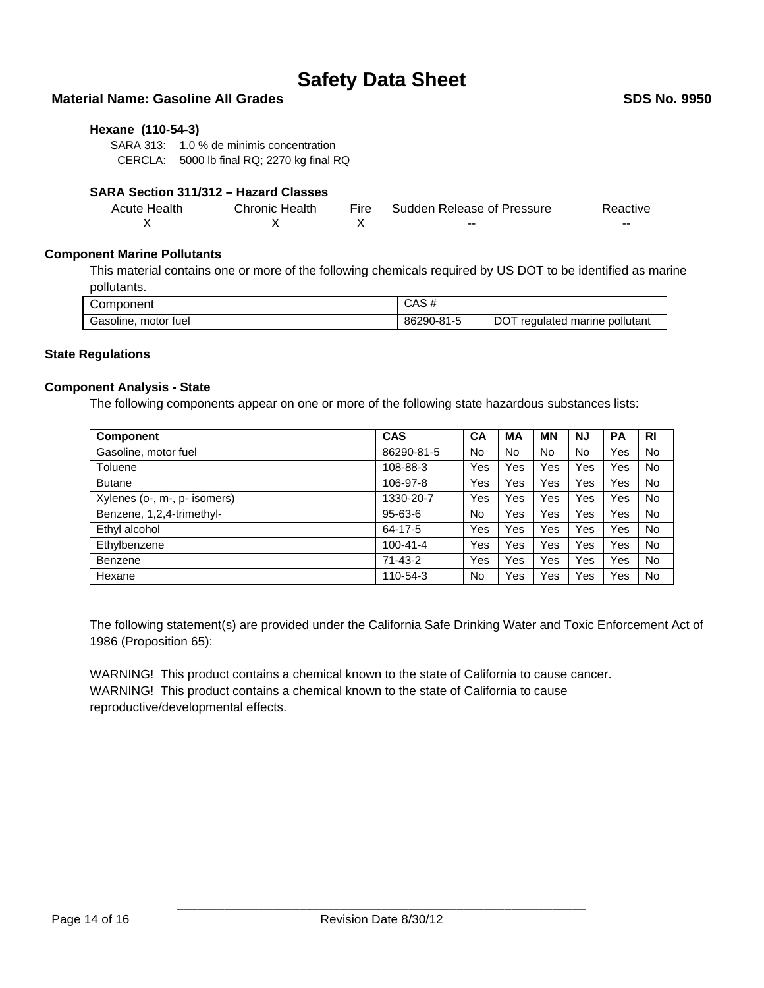# **Material Name: Gasoline All Grades SDS No. 9950**

#### **Hexane (110-54-3)**

SARA 313: 1.0 % de minimis concentration CERCLA: 5000 lb final RQ; 2270 kg final RQ

# **SARA Section 311/312 – Hazard Classes**

| Acute Health | <b>Chronic Health</b> | Fire | Sudden Release of Pressure | Reactive |
|--------------|-----------------------|------|----------------------------|----------|
|              |                       |      | $- -$                      | --       |

#### **Component Marine Pollutants**

This material contains one or more of the following chemicals required by US DOT to be identified as marine pollutants.

| Component               | CAS#       |                                      |
|-------------------------|------------|--------------------------------------|
| Gasoline,<br>motor fuel | 86290-81-5 | pollutant<br>regulated marine<br>יטכ |

#### **State Regulations**

#### **Component Analysis - State**

The following components appear on one or more of the following state hazardous substances lists:

| <b>Component</b>             | <b>CAS</b>     | CA        | МA  | <b>MN</b> | ΝJ  | <b>PA</b> | <b>RI</b> |
|------------------------------|----------------|-----------|-----|-----------|-----|-----------|-----------|
| Gasoline, motor fuel         | 86290-81-5     | No.       | No  | No.       | No  | Yes       | No.       |
| Toluene                      | 108-88-3       | Yes       | Yes | Yes       | Yes | Yes       | No.       |
| <b>Butane</b>                | 106-97-8       | Yes       | Yes | Yes       | Yes | Yes       | No.       |
| Xylenes (o-, m-, p- isomers) | 1330-20-7      | Yes       | Yes | Yes       | Yes | Yes       | No.       |
| Benzene, 1,2,4-trimethyl-    | $95 - 63 - 6$  | No        | Yes | Yes       | Yes | Yes       | No.       |
| Ethyl alcohol                | 64-17-5        | Yes       | Yes | Yes       | Yes | Yes       | No.       |
| Ethylbenzene                 | $100 - 41 - 4$ | Yes       | Yes | Yes       | Yes | Yes       | No.       |
| Benzene                      | $71 - 43 - 2$  | Yes       | Yes | Yes       | Yes | Yes       | No.       |
| Hexane                       | 110-54-3       | <b>No</b> | Yes | Yes       | Yes | Yes       | No        |

The following statement(s) are provided under the California Safe Drinking Water and Toxic Enforcement Act of 1986 (Proposition 65):

WARNING! This product contains a chemical known to the state of California to cause cancer. WARNING! This product contains a chemical known to the state of California to cause reproductive/developmental effects.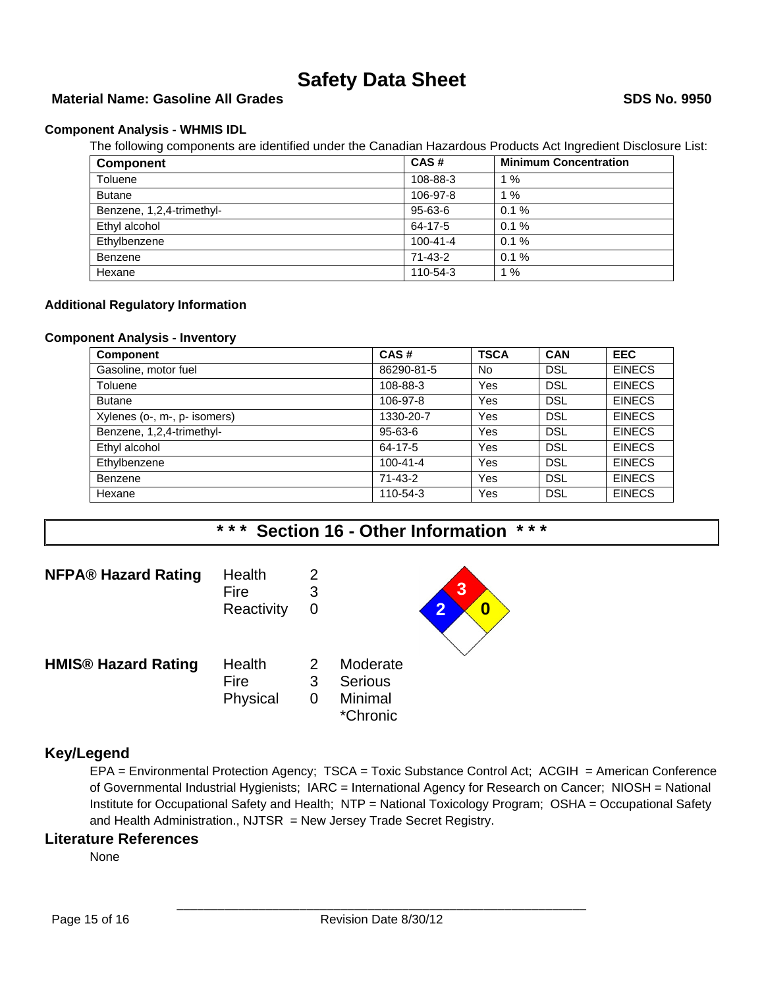# **Material Name: Gasoline All Grades SDS No. 9950**

#### **Component Analysis - WHMIS IDL**

The following components are identified under the Canadian Hazardous Products Act Ingredient Disclosure List:

| <b>Component</b>          | CAS#           | <b>Minimum Concentration</b> |
|---------------------------|----------------|------------------------------|
| Toluene                   | 108-88-3       | $1\%$                        |
| <b>Butane</b>             | 106-97-8       | 1%                           |
| Benzene, 1,2,4-trimethyl- | $95 - 63 - 6$  | 0.1%                         |
| Ethyl alcohol             | 64-17-5        | 0.1%                         |
| Ethylbenzene              | $100 - 41 - 4$ | 0.1%                         |
| Benzene                   | 71-43-2        | 0.1%                         |
| Hexane                    | 110-54-3       | 1%                           |

#### **Additional Regulatory Information**

#### **Component Analysis - Inventory**

| <b>Component</b>             | CAS#           | <b>TSCA</b> | <b>CAN</b> | <b>EEC</b>    |
|------------------------------|----------------|-------------|------------|---------------|
| Gasoline, motor fuel         | 86290-81-5     | No          | <b>DSL</b> | <b>EINECS</b> |
| Toluene                      | 108-88-3       | Yes         | <b>DSL</b> | <b>EINECS</b> |
| <b>Butane</b>                | 106-97-8       | Yes         | <b>DSL</b> | <b>EINECS</b> |
| Xylenes (o-, m-, p- isomers) | 1330-20-7      | Yes         | <b>DSL</b> | <b>EINECS</b> |
| Benzene, 1,2,4-trimethyl-    | $95 - 63 - 6$  | Yes         | <b>DSL</b> | <b>EINECS</b> |
| Ethyl alcohol                | 64-17-5        | Yes         | <b>DSL</b> | <b>EINECS</b> |
| Ethylbenzene                 | $100 - 41 - 4$ | Yes         | <b>DSL</b> | <b>EINECS</b> |
| <b>Benzene</b>               | $71 - 43 - 2$  | Yes         | <b>DSL</b> | <b>EINECS</b> |
| Hexane                       | 110-54-3       | Yes         | <b>DSL</b> | <b>EINECS</b> |

# **\* \* \* Section 16 - Other Information \* \* \***



# **Key/Legend**

EPA = Environmental Protection Agency; TSCA = Toxic Substance Control Act; ACGIH = American Conference of Governmental Industrial Hygienists; IARC = International Agency for Research on Cancer; NIOSH = National Institute for Occupational Safety and Health; NTP = National Toxicology Program; OSHA = Occupational Safety and Health Administration., NJTSR = New Jersey Trade Secret Registry.

### **Literature References**

None